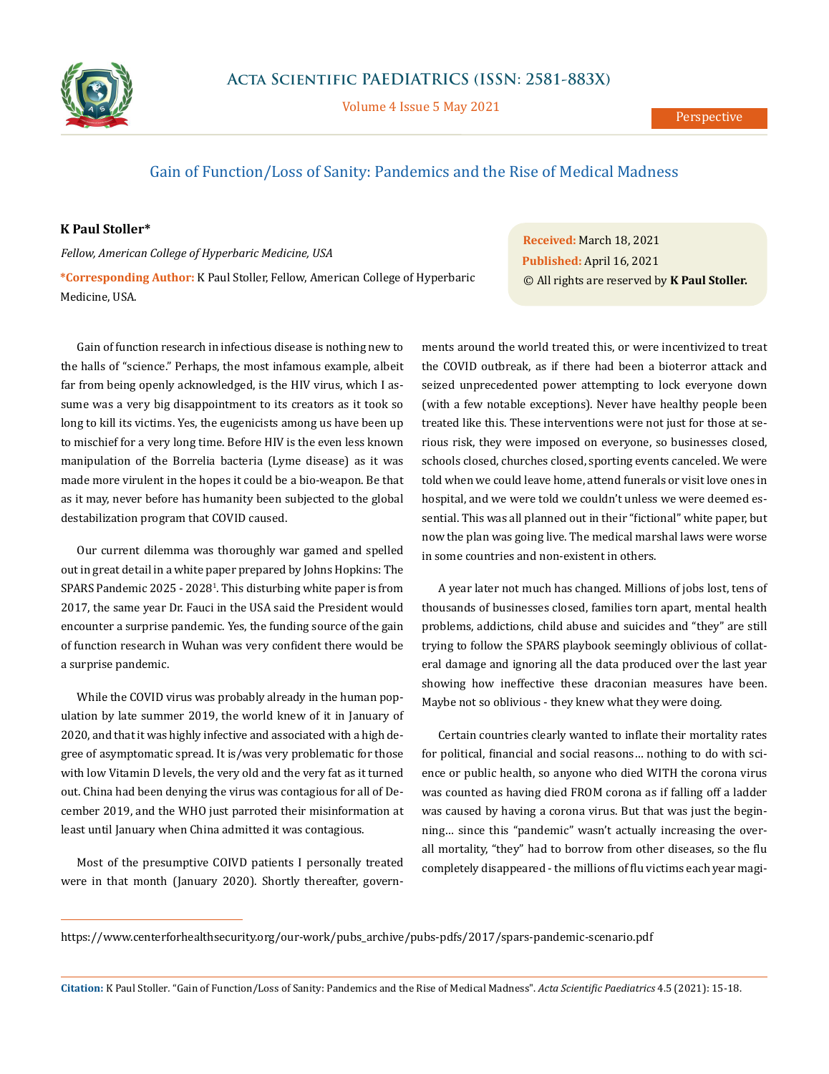

Volume 4 Issue 5 May 2021

## Gain of Function/Loss of Sanity: Pandemics and the Rise of Medical Madness

## **K Paul Stoller\***

*Fellow, American College of Hyperbaric Medicine, USA*

**\*Corresponding Author:** K Paul Stoller, Fellow, American College of Hyperbaric Medicine, USA.

Gain of function research in infectious disease is nothing new to the halls of "science." Perhaps, the most infamous example, albeit far from being openly acknowledged, is the HIV virus, which I assume was a very big disappointment to its creators as it took so long to kill its victims. Yes, the eugenicists among us have been up to mischief for a very long time. Before HIV is the even less known manipulation of the Borrelia bacteria (Lyme disease) as it was made more virulent in the hopes it could be a bio-weapon. Be that as it may, never before has humanity been subjected to the global destabilization program that COVID caused.

Our current dilemma was thoroughly war gamed and spelled out in great detail in a white paper prepared by Johns Hopkins: The SPARS Pandemic 2025 - 20281 . This disturbing white paper is from 2017, the same year Dr. Fauci in the USA said the President would encounter a surprise pandemic. Yes, the funding source of the gain of function research in Wuhan was very confident there would be a surprise pandemic.

While the COVID virus was probably already in the human population by late summer 2019, the world knew of it in January of 2020, and that it was highly infective and associated with a high degree of asymptomatic spread. It is/was very problematic for those with low Vitamin D levels, the very old and the very fat as it turned out. China had been denying the virus was contagious for all of December 2019, and the WHO just parroted their misinformation at least until January when China admitted it was contagious.

Most of the presumptive COIVD patients I personally treated were in that month (January 2020). Shortly thereafter, govern-

**Received:** March 18, 2021 **Published:** April 16, 2021 © All rights are reserved by **K Paul Stoller.**

ments around the world treated this, or were incentivized to treat the COVID outbreak, as if there had been a bioterror attack and seized unprecedented power attempting to lock everyone down (with a few notable exceptions). Never have healthy people been treated like this. These interventions were not just for those at serious risk, they were imposed on everyone, so businesses closed, schools closed, churches closed, sporting events canceled. We were told when we could leave home, attend funerals or visit love ones in hospital, and we were told we couldn't unless we were deemed essential. This was all planned out in their "fictional" white paper, but now the plan was going live. The medical marshal laws were worse in some countries and non-existent in others.

A year later not much has changed. Millions of jobs lost, tens of thousands of businesses closed, families torn apart, mental health problems, addictions, child abuse and suicides and "they" are still trying to follow the SPARS playbook seemingly oblivious of collateral damage and ignoring all the data produced over the last year showing how ineffective these draconian measures have been. Maybe not so oblivious - they knew what they were doing.

Certain countries clearly wanted to inflate their mortality rates for political, financial and social reasons… nothing to do with science or public health, so anyone who died WITH the corona virus was counted as having died FROM corona as if falling off a ladder was caused by having a corona virus. But that was just the beginning… since this "pandemic" wasn't actually increasing the overall mortality, "they" had to borrow from other diseases, so the flu completely disappeared - the millions of flu victims each year magi-

**Citation:** K Paul Stoller*.* "Gain of Function/Loss of Sanity: Pandemics and the Rise of Medical Madness". *Acta Scientific Paediatrics* 4.5 (2021): 15-18.

[https://www.centerforhealthsecurity.org/our-work/pubs\\_archive/pubs-pdfs/2017/spars-pandemic-scenario.pdf](https://www.centerforhealthsecurity.org/our-work/pubs_archive/pubs-pdfs/2017/spars-pandemic-scenario.pdf)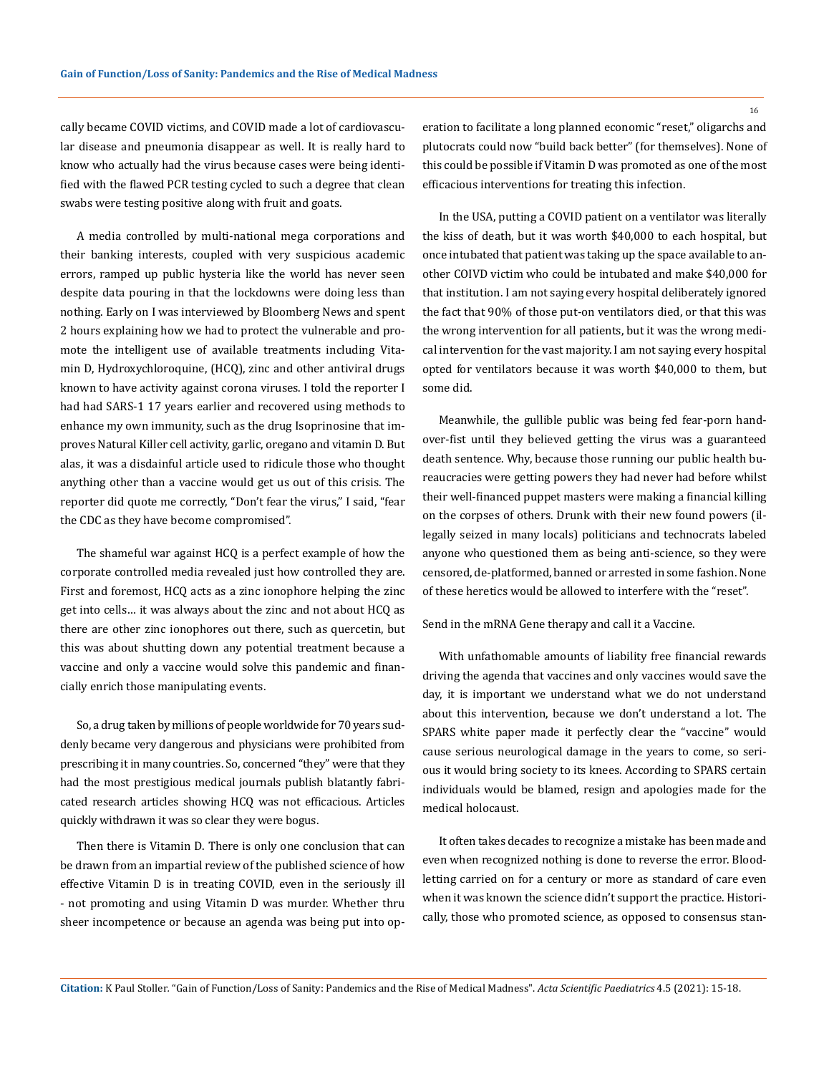cally became COVID victims, and COVID made a lot of cardiovascular disease and pneumonia disappear as well. It is really hard to know who actually had the virus because cases were being identified with the flawed PCR testing cycled to such a degree that clean swabs were testing positive along with fruit and goats.

A media controlled by multi-national mega corporations and their banking interests, coupled with very suspicious academic errors, ramped up public hysteria like the world has never seen despite data pouring in that the lockdowns were doing less than nothing. Early on I was interviewed by Bloomberg News and spent 2 hours explaining how we had to protect the vulnerable and promote the intelligent use of available treatments including Vitamin D, Hydroxychloroquine, (HCQ), zinc and other antiviral drugs known to have activity against corona viruses. I told the reporter I had had SARS-1 17 years earlier and recovered using methods to enhance my own immunity, such as the drug Isoprinosine that improves Natural Killer cell activity, garlic, oregano and vitamin D. But alas, it was a disdainful article used to ridicule those who thought anything other than a vaccine would get us out of this crisis. The reporter did quote me correctly, "Don't fear the virus," I said, "fear the CDC as they have become compromised".

The shameful war against HCQ is a perfect example of how the corporate controlled media revealed just how controlled they are. First and foremost, HCQ acts as a zinc ionophore helping the zinc get into cells… it was always about the zinc and not about HCQ as there are other zinc ionophores out there, such as quercetin, but this was about shutting down any potential treatment because a vaccine and only a vaccine would solve this pandemic and financially enrich those manipulating events.

So, a drug taken by millions of people worldwide for 70 years suddenly became very dangerous and physicians were prohibited from prescribing it in many countries. So, concerned "they" were that they had the most prestigious medical journals publish blatantly fabricated research articles showing HCQ was not efficacious. Articles quickly withdrawn it was so clear they were bogus.

Then there is Vitamin D. There is only one conclusion that can be drawn from an impartial review of the published science of how effective Vitamin D is in treating COVID, even in the seriously ill - not promoting and using Vitamin D was murder. Whether thru sheer incompetence or because an agenda was being put into operation to facilitate a long planned economic "reset," oligarchs and plutocrats could now "build back better" (for themselves). None of this could be possible if Vitamin D was promoted as one of the most efficacious interventions for treating this infection.

In the USA, putting a COVID patient on a ventilator was literally the kiss of death, but it was worth \$40,000 to each hospital, but once intubated that patient was taking up the space available to another COIVD victim who could be intubated and make \$40,000 for that institution. I am not saying every hospital deliberately ignored the fact that 90% of those put-on ventilators died, or that this was the wrong intervention for all patients, but it was the wrong medical intervention for the vast majority. I am not saying every hospital opted for ventilators because it was worth \$40,000 to them, but some did.

Meanwhile, the gullible public was being fed fear-porn handover-fist until they believed getting the virus was a guaranteed death sentence. Why, because those running our public health bureaucracies were getting powers they had never had before whilst their well-financed puppet masters were making a financial killing on the corpses of others. Drunk with their new found powers (illegally seized in many locals) politicians and technocrats labeled anyone who questioned them as being anti-science, so they were censored, de-platformed, banned or arrested in some fashion. None of these heretics would be allowed to interfere with the "reset".

## Send in the mRNA Gene therapy and call it a Vaccine.

With unfathomable amounts of liability free financial rewards driving the agenda that vaccines and only vaccines would save the day, it is important we understand what we do not understand about this intervention, because we don't understand a lot. The SPARS white paper made it perfectly clear the "vaccine" would cause serious neurological damage in the years to come, so serious it would bring society to its knees. According to SPARS certain individuals would be blamed, resign and apologies made for the medical holocaust.

It often takes decades to recognize a mistake has been made and even when recognized nothing is done to reverse the error. Bloodletting carried on for a century or more as standard of care even when it was known the science didn't support the practice. Historically, those who promoted science, as opposed to consensus stan-

16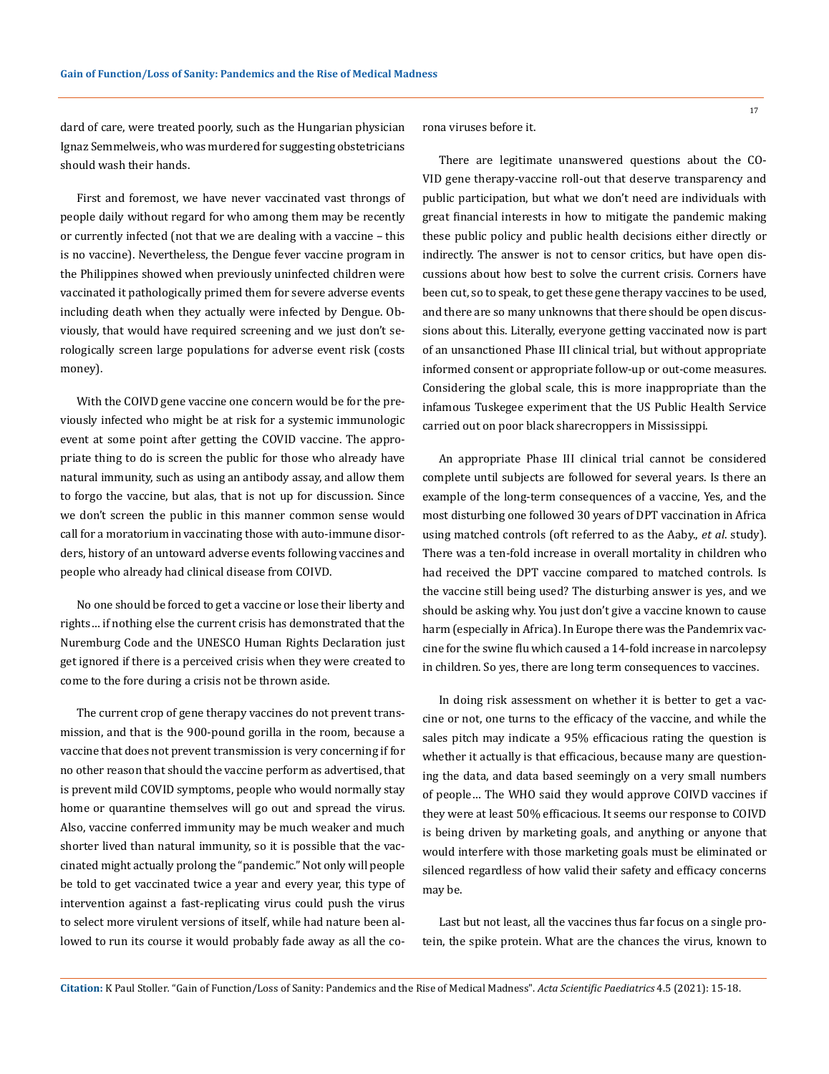dard of care, were treated poorly, such as the Hungarian physician Ignaz Semmelweis, who was murdered for suggesting obstetricians should wash their hands.

First and foremost, we have never vaccinated vast throngs of people daily without regard for who among them may be recently or currently infected (not that we are dealing with a vaccine – this is no vaccine). Nevertheless, the Dengue fever vaccine program in the Philippines showed when previously uninfected children were vaccinated it pathologically primed them for severe adverse events including death when they actually were infected by Dengue. Obviously, that would have required screening and we just don't serologically screen large populations for adverse event risk (costs money).

With the COIVD gene vaccine one concern would be for the previously infected who might be at risk for a systemic immunologic event at some point after getting the COVID vaccine. The appropriate thing to do is screen the public for those who already have natural immunity, such as using an antibody assay, and allow them to forgo the vaccine, but alas, that is not up for discussion. Since we don't screen the public in this manner common sense would call for a moratorium in vaccinating those with auto-immune disorders, history of an untoward adverse events following vaccines and people who already had clinical disease from COIVD.

No one should be forced to get a vaccine or lose their liberty and rights… if nothing else the current crisis has demonstrated that the Nuremburg Code and the UNESCO Human Rights Declaration just get ignored if there is a perceived crisis when they were created to come to the fore during a crisis not be thrown aside.

The current crop of gene therapy vaccines do not prevent transmission, and that is the 900-pound gorilla in the room, because a vaccine that does not prevent transmission is very concerning if for no other reason that should the vaccine perform as advertised, that is prevent mild COVID symptoms, people who would normally stay home or quarantine themselves will go out and spread the virus. Also, vaccine conferred immunity may be much weaker and much shorter lived than natural immunity, so it is possible that the vaccinated might actually prolong the "pandemic." Not only will people be told to get vaccinated twice a year and every year, this type of intervention against a fast-replicating virus could push the virus to select more virulent versions of itself, while had nature been allowed to run its course it would probably fade away as all the corona viruses before it.

There are legitimate unanswered questions about the CO-VID gene therapy-vaccine roll-out that deserve transparency and public participation, but what we don't need are individuals with great financial interests in how to mitigate the pandemic making these public policy and public health decisions either directly or indirectly. The answer is not to censor critics, but have open discussions about how best to solve the current crisis. Corners have been cut, so to speak, to get these gene therapy vaccines to be used, and there are so many unknowns that there should be open discussions about this. Literally, everyone getting vaccinated now is part of an unsanctioned Phase III clinical trial, but without appropriate informed consent or appropriate follow-up or out-come measures. Considering the global scale, this is more inappropriate than the infamous Tuskegee experiment that the US Public Health Service carried out on poor black sharecroppers in Mississippi.

An appropriate Phase III clinical trial cannot be considered complete until subjects are followed for several years. Is there an example of the long-term consequences of a vaccine, Yes, and the most disturbing one followed 30 years of DPT vaccination in Africa using matched controls (oft referred to as the Aaby., *et al*. study). There was a ten-fold increase in overall mortality in children who had received the DPT vaccine compared to matched controls. Is the vaccine still being used? The disturbing answer is yes, and we should be asking why. You just don't give a vaccine known to cause harm (especially in Africa). In Europe there was the Pandemrix vaccine for the swine flu which caused a 14-fold increase in narcolepsy in children. So yes, there are long term consequences to vaccines.

In doing risk assessment on whether it is better to get a vaccine or not, one turns to the efficacy of the vaccine, and while the sales pitch may indicate a 95% efficacious rating the question is whether it actually is that efficacious, because many are questioning the data, and data based seemingly on a very small numbers of people… The WHO said they would approve COIVD vaccines if they were at least 50% efficacious. It seems our response to COIVD is being driven by marketing goals, and anything or anyone that would interfere with those marketing goals must be eliminated or silenced regardless of how valid their safety and efficacy concerns may be.

Last but not least, all the vaccines thus far focus on a single protein, the spike protein. What are the chances the virus, known to

17